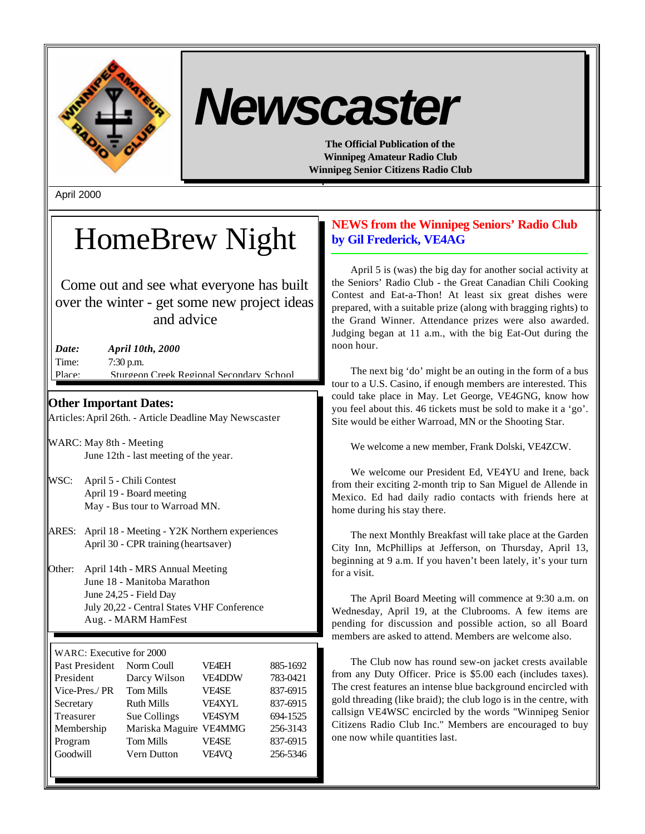

# *Newscaster*

**The Official Publication of the Winnipeg Amateur Radio Club Winnipeg Senior Citizens Radio Club**

April 2000

## HomeBrew Night

Come out and see what everyone has built over the winter - get some new project ideas and advice

*Date: April 10th, 2000* Time: 7:30 p.m. Place: Sturgeon Creek Regional Secondary School

## **Other Important Dates:**

Articles: April 26th. - Article Deadline May Newscaster

- WARC: May 8th Meeting June 12th - last meeting of the year.
- WSC: April 5 Chili Contest April 19 - Board meeting May - Bus tour to Warroad MN.
- ARES: April 18 Meeting Y2K Northern experiences April 30 - CPR training (heartsaver)
- Other: April 14th MRS Annual Meeting June 18 - Manitoba Marathon June 24,25 - Field Day July 20,22 - Central States VHF Conference Aug. - MARM HamFest

| Past President | Norm Coull             | <b>VF4EH</b>  | 885-1692 |
|----------------|------------------------|---------------|----------|
| President      | Darcy Wilson           | VE4DDW        | 783-0421 |
| Vice-Pres./ PR | <b>Tom Mills</b>       | <b>VF4SE</b>  | 837-6915 |
| Secretary      | <b>Ruth Mills</b>      | <b>VFAXYL</b> | 837-6915 |
| Treasurer      | Sue Collings           | <b>VE4SYM</b> | 694-1525 |
| Membership     | Mariska Maguire VE4MMG |               | 256-3143 |
| Program        | <b>Tom Mills</b>       | <b>VF4SE</b>  | 837-6915 |
| Goodwill       | Vern Dutton            | VE4VQ         | 256-5346 |
|                |                        |               |          |

## **NEWS from the Winnipeg Seniors' Radio Club by Gil Frederick, VE4AG**

April 5 is (was) the big day for another social activity at the Seniors' Radio Club - the Great Canadian Chili Cooking Contest and Eat-a-Thon! At least six great dishes were prepared, with a suitable prize (along with bragging rights) to the Grand Winner. Attendance prizes were also awarded. Judging began at 11 a.m., with the big Eat-Out during the noon hour.

The next big 'do' might be an outing in the form of a bus tour to a U.S. Casino, if enough members are interested. This could take place in May. Let George, VE4GNG, know how you feel about this. 46 tickets must be sold to make it a 'go'. Site would be either Warroad, MN or the Shooting Star.

We welcome a new member, Frank Dolski, VE4ZCW.

We welcome our President Ed, VE4YU and Irene, back from their exciting 2-month trip to San Miguel de Allende in Mexico. Ed had daily radio contacts with friends here at home during his stay there.

The next Monthly Breakfast will take place at the Garden City Inn, McPhillips at Jefferson, on Thursday, April 13, beginning at 9 a.m. If you haven't been lately, it's your turn for a visit.

The April Board Meeting will commence at 9:30 a.m. on Wednesday, April 19, at the Clubrooms. A few items are pending for discussion and possible action, so all Board members are asked to attend. Members are welcome also.

The Club now has round sew-on jacket crests available from any Duty Officer. Price is \$5.00 each (includes taxes). The crest features an intense blue background encircled with gold threading (like braid); the club logo is in the centre, with callsign VE4WSC encircled by the words "Winnipeg Senior Citizens Radio Club Inc." Members are encouraged to buy one now while quantities last.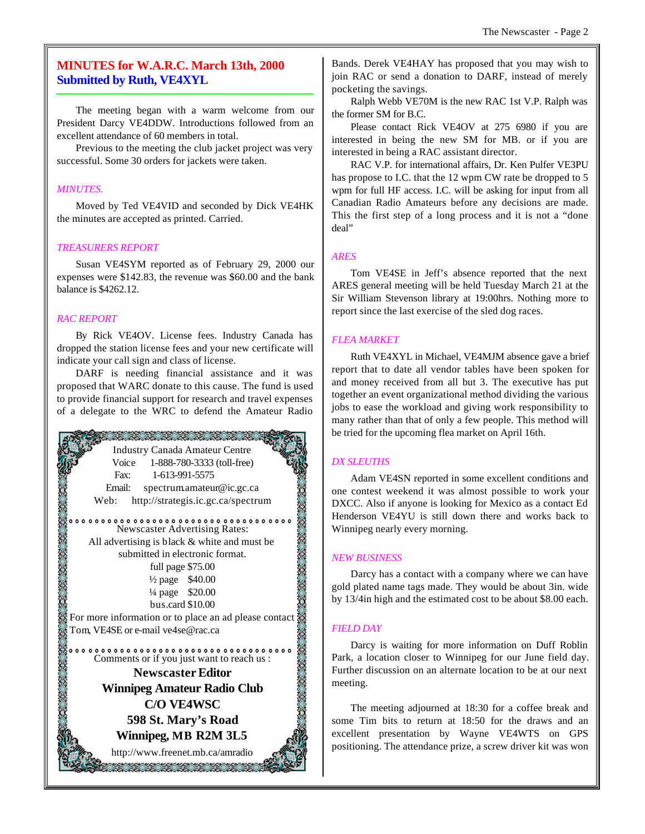## **MINUTES for W.A.R.C. March 13th, 2000 Submitted by Ruth, VE4XYL**

The meeting began with a warm welcome from our President Darcy VE4DDW. Introductions followed from an excellent attendance of 60 members in total.

Previous to the meeting the club jacket project was very successful. Some 30 orders for jackets were taken.

#### *MINUTES.*

Moved by Ted VE4VID and seconded by Dick VE4HK the minutes are accepted as printed. Carried.

#### *TREASURERS REPORT*

Susan VE4SYM reported as of February 29, 2000 our expenses were \$142.83, the revenue was \$60.00 and the bank balance is \$4262.12.

## *RAC REPORT*

By Rick VE4OV. License fees. Industry Canada has dropped the station license fees and your new certificate will indicate your call sign and class of license.

DARF is needing financial assistance and it was proposed that WARC donate to this cause. The fund is used to provide financial support for research and travel expenses of a delegate to the WRC to defend the Amateur Radio



Bands. Derek VE4HAY has proposed that you may wish to join RAC or send a donation to DARF, instead of merely pocketing the savings.

Ralph Webb VE70M is the new RAC 1st V.P. Ralph was the former SM for B.C.

Please contact Rick VE4OV at 275 6980 if you are interested in being the new SM for MB. or if you are interested in being a RAC assistant director.

RAC V.P. for international affairs, Dr. Ken Pulfer VE3PU has propose to I.C. that the 12 wpm CW rate be dropped to 5 wpm for full HF access. I.C. will be asking for input from all Canadian Radio Amateurs before any decisions are made. This the first step of a long process and it is not a "done deal"

## *ARES*

Tom VE4SE in Jeff's absence reported that the next ARES general meeting will be held Tuesday March 21 at the Sir William Stevenson library at 19:00hrs. Nothing more to report since the last exercise of the sled dog races.

## *FLEA MARKET*

Ruth VE4XYL in Michael, VE4MJM absence gave a brief report that to date all vendor tables have been spoken for and money received from all but 3. The executive has put together an event organizational method dividing the various jobs to ease the workload and giving work responsibility to many rather than that of only a few people. This method will be tried for the upcoming flea market on April 16th.

## *DX SLEUTHS*

Adam VE4SN reported in some excellent conditions and one contest weekend it was almost possible to work your DXCC. Also if anyone is looking for Mexico as a contact Ed Henderson VE4YU is still down there and works back to Winnipeg nearly every morning.

## *NEW BUSINESS*

Darcy has a contact with a company where we can have gold plated name tags made. They would be about 3in. wide by 13/4in high and the estimated cost to be about \$8.00 each.

## *FIELD DAY*

Darcy is waiting for more information on Duff Roblin Park, a location closer to Winnipeg for our June field day. Further discussion on an alternate location to be at our next meeting.

The meeting adjourned at 18:30 for a coffee break and some Tim bits to return at 18:50 for the draws and an excellent presentation by Wayne VE4WTS on GPS positioning. The attendance prize, a screw driver kit was won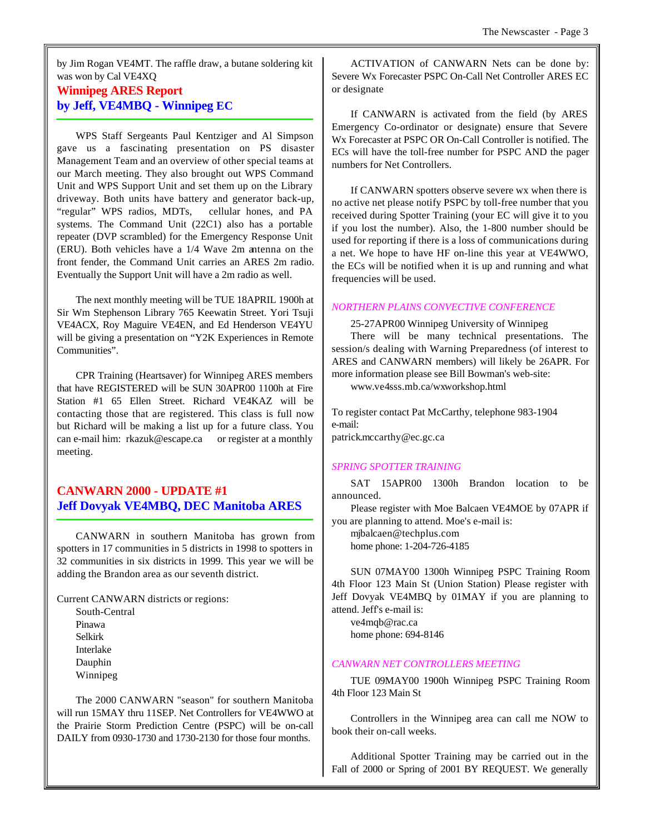by Jim Rogan VE4MT. The raffle draw, a butane soldering kit was won by Cal VE4XQ

## **Winnipeg ARES Report by Jeff, VE4MBQ - Winnipeg EC**

WPS Staff Sergeants Paul Kentziger and Al Simpson gave us a fascinating presentation on PS disaster Management Team and an overview of other special teams at our March meeting. They also brought out WPS Command Unit and WPS Support Unit and set them up on the Library driveway. Both units have battery and generator back-up, "regular" WPS radios, MDTs, cellular hones, and PA systems. The Command Unit (22C1) also has a portable repeater (DVP scrambled) for the Emergency Response Unit (ERU). Both vehicles have a 1/4 Wave 2m antenna on the front fender, the Command Unit carries an ARES 2m radio. Eventually the Support Unit will have a 2m radio as well.

The next monthly meeting will be TUE 18APRIL 1900h at Sir Wm Stephenson Library 765 Keewatin Street. Yori Tsuji VE4ACX, Roy Maguire VE4EN, and Ed Henderson VE4YU will be giving a presentation on "Y2K Experiences in Remote Communities".

CPR Training (Heartsaver) for Winnipeg ARES members that have REGISTERED will be SUN 30APR00 1100h at Fire Station #1 65 Ellen Street. Richard VE4KAZ will be contacting those that are registered. This class is full now but Richard will be making a list up for a future class. You can e-mail him: rkazuk@escape.ca or register at a monthly meeting.

## **CANWARN 2000 - UPDATE #1 Jeff Dovyak VE4MBQ, DEC Manitoba ARES**

CANWARN in southern Manitoba has grown from spotters in 17 communities in 5 districts in 1998 to spotters in 32 communities in six districts in 1999. This year we will be adding the Brandon area as our seventh district.

Current CANWARN districts or regions:

South-Central Pinawa Selkirk Interlake Dauphin Winnipeg

The 2000 CANWARN "season" for southern Manitoba will run 15MAY thru 11SEP. Net Controllers for VE4WWO at the Prairie Storm Prediction Centre (PSPC) will be on-call DAILY from 0930-1730 and 1730-2130 for those four months.

ACTIVATION of CANWARN Nets can be done by: Severe Wx Forecaster PSPC On-Call Net Controller ARES EC or designate

If CANWARN is activated from the field (by ARES Emergency Co-ordinator or designate) ensure that Severe Wx Forecaster at PSPC OR On-Call Controller is notified. The ECs will have the toll-free number for PSPC AND the pager numbers for Net Controllers.

If CANWARN spotters observe severe wx when there is no active net please notify PSPC by toll-free number that you received during Spotter Training (your EC will give it to you if you lost the number). Also, the 1-800 number should be used for reporting if there is a loss of communications during a net. We hope to have HF on-line this year at VE4WWO, the ECs will be notified when it is up and running and what frequencies will be used.

## *NORTHERN PLAINS CONVECTIVE CONFERENCE*

25-27APR00 Winnipeg University of Winnipeg

There will be many technical presentations. The session/s dealing with Warning Preparedness (of interest to ARES and CANWARN members) will likely be 26APR. For more information please see Bill Bowman's web-site:

www.ve4sss.mb.ca/wxworkshop.html

To register contact Pat McCarthy, telephone 983-1904 e-mail: patrick.mccarthy@ec.gc.ca

## *SPRING SPOTTER TRAINING*

SAT 15APR00 1300h Brandon location to be announced.

Please register with Moe Balcaen VE4MOE by 07APR if you are planning to attend. Moe's e-mail is:

mjbalcaen@techplus.com home phone: 1-204-726-4185

SUN 07MAY00 1300h Winnipeg PSPC Training Room 4th Floor 123 Main St (Union Station) Please register with Jeff Dovyak VE4MBQ by 01MAY if you are planning to attend. Jeff's e-mail is:

ve4mqb@rac.ca home phone: 694-8146

## *CANWARN NET CONTROLLERS MEETING*

TUE 09MAY00 1900h Winnipeg PSPC Training Room 4th Floor 123 Main St

Controllers in the Winnipeg area can call me NOW to book their on-call weeks.

Additional Spotter Training may be carried out in the Fall of 2000 or Spring of 2001 BY REQUEST. We generally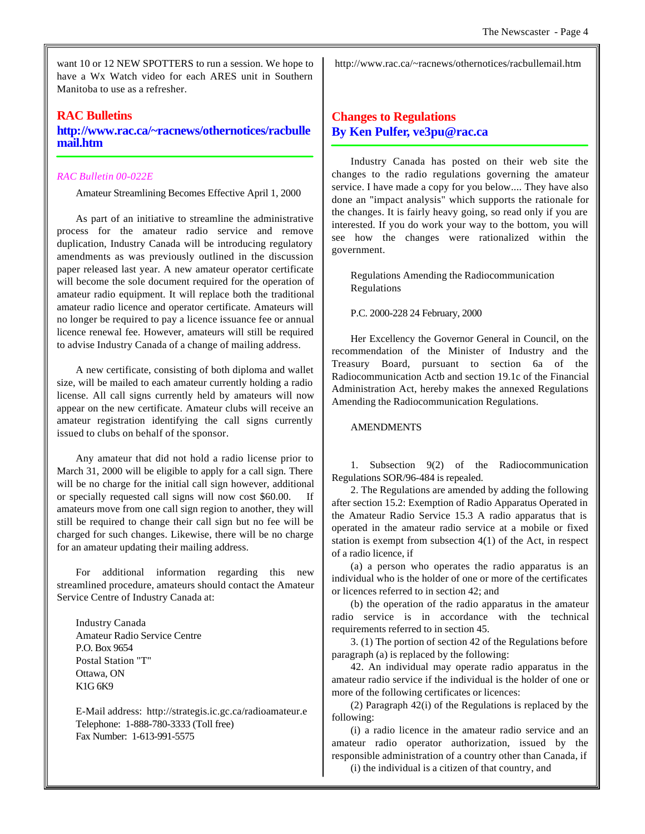want 10 or 12 NEW SPOTTERS to run a session. We hope to have a Wx Watch video for each ARES unit in Southern Manitoba to use as a refresher.

## **RAC Bulletins**

**http://www.rac.ca/~racnews/othernotices/racbulle mail.htm**

## *RAC Bulletin 00-022E*

Amateur Streamlining Becomes Effective April 1, 2000

As part of an initiative to streamline the administrative process for the amateur radio service and remove duplication, Industry Canada will be introducing regulatory amendments as was previously outlined in the discussion paper released last year. A new amateur operator certificate will become the sole document required for the operation of amateur radio equipment. It will replace both the traditional amateur radio licence and operator certificate. Amateurs will no longer be required to pay a licence issuance fee or annual licence renewal fee. However, amateurs will still be required to advise Industry Canada of a change of mailing address.

A new certificate, consisting of both diploma and wallet size, will be mailed to each amateur currently holding a radio license. All call signs currently held by amateurs will now appear on the new certificate. Amateur clubs will receive an amateur registration identifying the call signs currently issued to clubs on behalf of the sponsor.

Any amateur that did not hold a radio license prior to March 31, 2000 will be eligible to apply for a call sign. There will be no charge for the initial call sign however, additional or specially requested call signs will now cost \$60.00. If amateurs move from one call sign region to another, they will still be required to change their call sign but no fee will be charged for such changes. Likewise, there will be no charge for an amateur updating their mailing address.

For additional information regarding this new streamlined procedure, amateurs should contact the Amateur Service Centre of Industry Canada at:

Industry Canada Amateur Radio Service Centre P.O. Box 9654 Postal Station "T" Ottawa, ON K1G 6K9

E-Mail address: http://strategis.ic.gc.ca/radioamateur.e Telephone: 1-888-780-3333 (Toll free) Fax Number: 1-613-991-5575

http://www.rac.ca/~racnews/othernotices/racbullemail.htm

## **Changes to Regulations By Ken Pulfer, ve3pu@rac.ca**

Industry Canada has posted on their web site the changes to the radio regulations governing the amateur service. I have made a copy for you below.... They have also done an "impact analysis" which supports the rationale for the changes. It is fairly heavy going, so read only if you are interested. If you do work your way to the bottom, you will see how the changes were rationalized within the government.

Regulations Amending the Radiocommunication Regulations

P.C. 2000-228 24 February, 2000

Her Excellency the Governor General in Council, on the recommendation of the Minister of Industry and the Treasury Board, pursuant to section 6a of the Radiocommunication Actb and section 19.1c of the Financial Administration Act, hereby makes the annexed Regulations Amending the Radiocommunication Regulations.

## **AMENDMENTS**

1. Subsection 9(2) of the Radiocommunication Regulations SOR/96-484 is repealed.

2. The Regulations are amended by adding the following after section 15.2: Exemption of Radio Apparatus Operated in the Amateur Radio Service 15.3 A radio apparatus that is operated in the amateur radio service at a mobile or fixed station is exempt from subsection 4(1) of the Act, in respect of a radio licence, if

(a) a person who operates the radio apparatus is an individual who is the holder of one or more of the certificates or licences referred to in section 42; and

(b) the operation of the radio apparatus in the amateur radio service is in accordance with the technical requirements referred to in section 45.

3. (1) The portion of section 42 of the Regulations before paragraph (a) is replaced by the following:

42. An individual may operate radio apparatus in the amateur radio service if the individual is the holder of one or more of the following certificates or licences:

(2) Paragraph 42(i) of the Regulations is replaced by the following:

(i) a radio licence in the amateur radio service and an amateur radio operator authorization, issued by the responsible administration of a country other than Canada, if

(i) the individual is a citizen of that country, and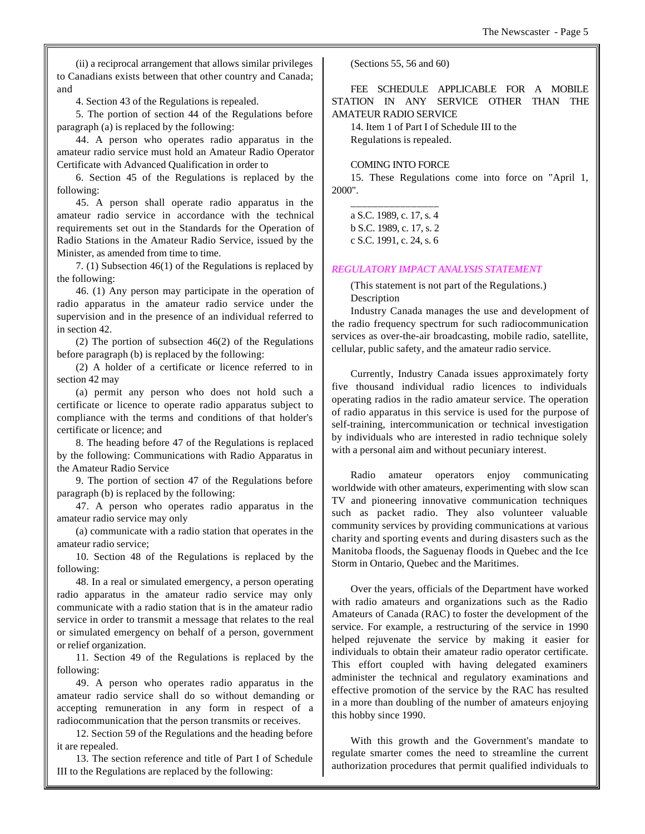(ii) a reciprocal arrangement that allows similar privileges to Canadians exists between that other country and Canada; and

4. Section 43 of the Regulations is repealed.

5. The portion of section 44 of the Regulations before paragraph (a) is replaced by the following:

44. A person who operates radio apparatus in the amateur radio service must hold an Amateur Radio Operator Certificate with Advanced Qualification in order to

6. Section 45 of the Regulations is replaced by the following:

45. A person shall operate radio apparatus in the amateur radio service in accordance with the technical requirements set out in the Standards for the Operation of Radio Stations in the Amateur Radio Service, issued by the Minister, as amended from time to time.

7. (1) Subsection 46(1) of the Regulations is replaced by the following:

46. (1) Any person may participate in the operation of radio apparatus in the amateur radio service under the supervision and in the presence of an individual referred to in section 42.

(2) The portion of subsection 46(2) of the Regulations before paragraph (b) is replaced by the following:

(2) A holder of a certificate or licence referred to in section 42 may

(a) permit any person who does not hold such a certificate or licence to operate radio apparatus subject to compliance with the terms and conditions of that holder's certificate or licence; and

8. The heading before 47 of the Regulations is replaced by the following: Communications with Radio Apparatus in the Amateur Radio Service

9. The portion of section 47 of the Regulations before paragraph (b) is replaced by the following:

47. A person who operates radio apparatus in the amateur radio service may only

(a) communicate with a radio station that operates in the amateur radio service;

10. Section 48 of the Regulations is replaced by the following:

48. In a real or simulated emergency, a person operating radio apparatus in the amateur radio service may only communicate with a radio station that is in the amateur radio service in order to transmit a message that relates to the real or simulated emergency on behalf of a person, government or relief organization.

11. Section 49 of the Regulations is replaced by the following:

49. A person who operates radio apparatus in the amateur radio service shall do so without demanding or accepting remuneration in any form in respect of a radiocommunication that the person transmits or receives.

12. Section 59 of the Regulations and the heading before it are repealed.

13. The section reference and title of Part I of Schedule III to the Regulations are replaced by the following:

(Sections 55, 56 and 60)

FEE SCHEDULE APPLICABLE FOR A MOBILE STATION IN ANY SERVICE OTHER THAN THE AMATEUR RADIO SERVICE

14. Item 1 of Part I of Schedule III to the Regulations is repealed.

## COMING INTO FORCE

15. These Regulations come into force on "April 1, 2000".

| a S.C. 1989, c. 17, s. 4 |
|--------------------------|
| b S.C. 1989, c. 17, s. 2 |
| c S.C. 1991, c. 24, s. 6 |

## *REGULATORY IMPACT ANALYSIS STATEMENT*

(This statement is not part of the Regulations.) Description

Industry Canada manages the use and development of the radio frequency spectrum for such radiocommunication services as over-the-air broadcasting, mobile radio, satellite, cellular, public safety, and the amateur radio service.

Currently, Industry Canada issues approximately forty five thousand individual radio licences to individuals operating radios in the radio amateur service. The operation of radio apparatus in this service is used for the purpose of self-training, intercommunication or technical investigation by individuals who are interested in radio technique solely with a personal aim and without pecuniary interest.

Radio amateur operators enjoy communicating worldwide with other amateurs, experimenting with slow scan TV and pioneering innovative communication techniques such as packet radio. They also volunteer valuable community services by providing communications at various charity and sporting events and during disasters such as the Manitoba floods, the Saguenay floods in Quebec and the Ice Storm in Ontario, Quebec and the Maritimes.

Over the years, officials of the Department have worked with radio amateurs and organizations such as the Radio Amateurs of Canada (RAC) to foster the development of the service. For example, a restructuring of the service in 1990 helped rejuvenate the service by making it easier for individuals to obtain their amateur radio operator certificate. This effort coupled with having delegated examiners administer the technical and regulatory examinations and effective promotion of the service by the RAC has resulted in a more than doubling of the number of amateurs enjoying this hobby since 1990.

With this growth and the Government's mandate to regulate smarter comes the need to streamline the current authorization procedures that permit qualified individuals to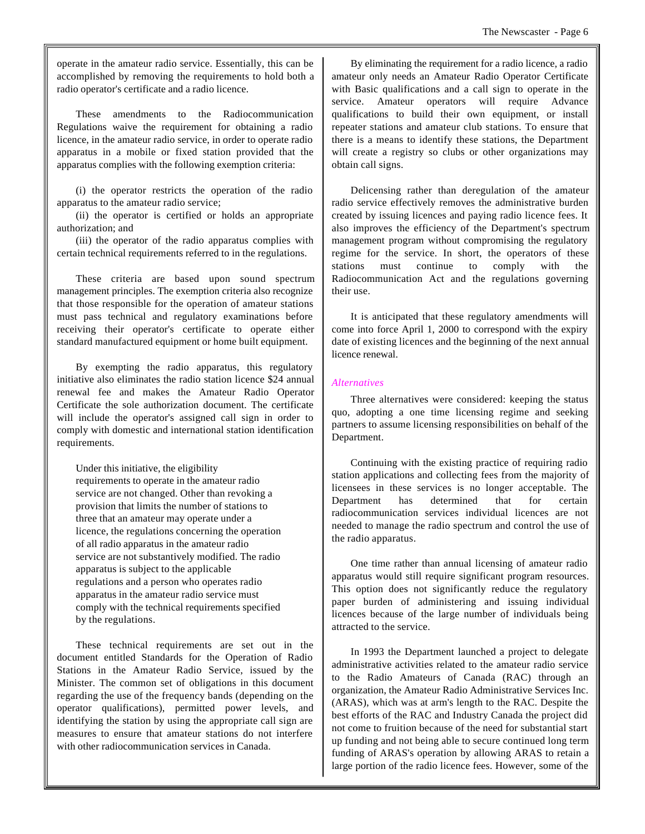operate in the amateur radio service. Essentially, this can be accomplished by removing the requirements to hold both a radio operator's certificate and a radio licence.

These amendments to the Radiocommunication Regulations waive the requirement for obtaining a radio licence, in the amateur radio service, in order to operate radio apparatus in a mobile or fixed station provided that the apparatus complies with the following exemption criteria:

(i) the operator restricts the operation of the radio apparatus to the amateur radio service;

(ii) the operator is certified or holds an appropriate authorization; and

(iii) the operator of the radio apparatus complies with certain technical requirements referred to in the regulations.

These criteria are based upon sound spectrum management principles. The exemption criteria also recognize that those responsible for the operation of amateur stations must pass technical and regulatory examinations before receiving their operator's certificate to operate either standard manufactured equipment or home built equipment.

By exempting the radio apparatus, this regulatory initiative also eliminates the radio station licence \$24 annual renewal fee and makes the Amateur Radio Operator Certificate the sole authorization document. The certificate will include the operator's assigned call sign in order to comply with domestic and international station identification requirements.

Under this initiative, the eligibility requirements to operate in the amateur radio service are not changed. Other than revoking a provision that limits the number of stations to three that an amateur may operate under a licence, the regulations concerning the operation of all radio apparatus in the amateur radio service are not substantively modified. The radio apparatus is subject to the applicable regulations and a person who operates radio apparatus in the amateur radio service must comply with the technical requirements specified by the regulations.

These technical requirements are set out in the document entitled Standards for the Operation of Radio Stations in the Amateur Radio Service, issued by the Minister. The common set of obligations in this document regarding the use of the frequency bands (depending on the operator qualifications), permitted power levels, and identifying the station by using the appropriate call sign are measures to ensure that amateur stations do not interfere with other radiocommunication services in Canada.

By eliminating the requirement for a radio licence, a radio amateur only needs an Amateur Radio Operator Certificate with Basic qualifications and a call sign to operate in the service. Amateur operators will require Advance qualifications to build their own equipment, or install repeater stations and amateur club stations. To ensure that there is a means to identify these stations, the Department will create a registry so clubs or other organizations may obtain call signs.

Delicensing rather than deregulation of the amateur radio service effectively removes the administrative burden created by issuing licences and paying radio licence fees. It also improves the efficiency of the Department's spectrum management program without compromising the regulatory regime for the service. In short, the operators of these stations must continue to comply with the Radiocommunication Act and the regulations governing their use.

It is anticipated that these regulatory amendments will come into force April 1, 2000 to correspond with the expiry date of existing licences and the beginning of the next annual licence renewal.

## *Alternatives*

Three alternatives were considered: keeping the status quo, adopting a one time licensing regime and seeking partners to assume licensing responsibilities on behalf of the Department.

Continuing with the existing practice of requiring radio station applications and collecting fees from the majority of licensees in these services is no longer acceptable. The Department has determined that for certain radiocommunication services individual licences are not needed to manage the radio spectrum and control the use of the radio apparatus.

One time rather than annual licensing of amateur radio apparatus would still require significant program resources. This option does not significantly reduce the regulatory paper burden of administering and issuing individual licences because of the large number of individuals being attracted to the service.

In 1993 the Department launched a project to delegate administrative activities related to the amateur radio service to the Radio Amateurs of Canada (RAC) through an organization, the Amateur Radio Administrative Services Inc. (ARAS), which was at arm's length to the RAC. Despite the best efforts of the RAC and Industry Canada the project did not come to fruition because of the need for substantial start up funding and not being able to secure continued long term funding of ARAS's operation by allowing ARAS to retain a large portion of the radio licence fees. However, some of the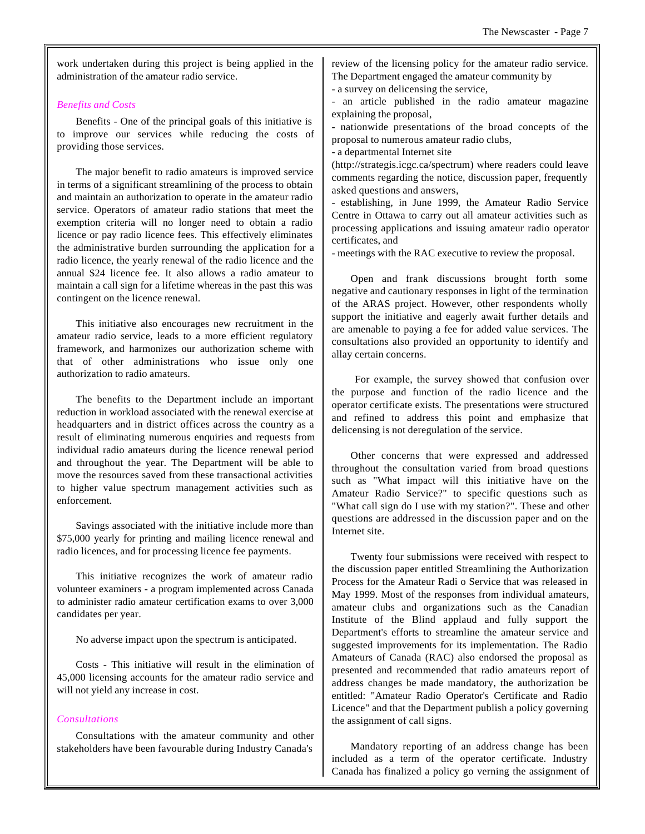work undertaken during this project is being applied in the administration of the amateur radio service.

## *Benefits and Costs*

Benefits - One of the principal goals of this initiative is to improve our services while reducing the costs of providing those services.

The major benefit to radio amateurs is improved service in terms of a significant streamlining of the process to obtain and maintain an authorization to operate in the amateur radio service. Operators of amateur radio stations that meet the exemption criteria will no longer need to obtain a radio licence or pay radio licence fees. This effectively eliminates the administrative burden surrounding the application for a radio licence, the yearly renewal of the radio licence and the annual \$24 licence fee. It also allows a radio amateur to maintain a call sign for a lifetime whereas in the past this was contingent on the licence renewal.

This initiative also encourages new recruitment in the amateur radio service, leads to a more efficient regulatory framework, and harmonizes our authorization scheme with that of other administrations who issue only one authorization to radio amateurs.

The benefits to the Department include an important reduction in workload associated with the renewal exercise at headquarters and in district offices across the country as a result of eliminating numerous enquiries and requests from individual radio amateurs during the licence renewal period and throughout the year. The Department will be able to move the resources saved from these transactional activities to higher value spectrum management activities such as enforcement.

Savings associated with the initiative include more than \$75,000 yearly for printing and mailing licence renewal and radio licences, and for processing licence fee payments.

This initiative recognizes the work of amateur radio volunteer examiners - a program implemented across Canada to administer radio amateur certification exams to over 3,000 candidates per year.

No adverse impact upon the spectrum is anticipated.

Costs - This initiative will result in the elimination of 45,000 licensing accounts for the amateur radio service and will not yield any increase in cost.

#### *Consultations*

Consultations with the amateur community and other stakeholders have been favourable during Industry Canada's

review of the licensing policy for the amateur radio service. The Department engaged the amateur community by

- a survey on delicensing the service,

- an article published in the radio amateur magazine explaining the proposal,

- nationwide presentations of the broad concepts of the proposal to numerous amateur radio clubs,

- a departmental Internet site

(http://strategis.icgc.ca/spectrum) where readers could leave comments regarding the notice, discussion paper, frequently asked questions and answers,

- establishing, in June 1999, the Amateur Radio Service Centre in Ottawa to carry out all amateur activities such as processing applications and issuing amateur radio operator certificates, and

- meetings with the RAC executive to review the proposal.

Open and frank discussions brought forth some negative and cautionary responses in light of the termination of the ARAS project. However, other respondents wholly support the initiative and eagerly await further details and are amenable to paying a fee for added value services. The consultations also provided an opportunity to identify and allay certain concerns.

 For example, the survey showed that confusion over the purpose and function of the radio licence and the operator certificate exists. The presentations were structured and refined to address this point and emphasize that delicensing is not deregulation of the service.

Other concerns that were expressed and addressed throughout the consultation varied from broad questions such as "What impact will this initiative have on the Amateur Radio Service?" to specific questions such as "What call sign do I use with my station?". These and other questions are addressed in the discussion paper and on the Internet site.

Twenty four submissions were received with respect to the discussion paper entitled Streamlining the Authorization Process for the Amateur Radi o Service that was released in May 1999. Most of the responses from individual amateurs, amateur clubs and organizations such as the Canadian Institute of the Blind applaud and fully support the Department's efforts to streamline the amateur service and suggested improvements for its implementation. The Radio Amateurs of Canada (RAC) also endorsed the proposal as presented and recommended that radio amateurs report of address changes be made mandatory, the authorization be entitled: "Amateur Radio Operator's Certificate and Radio Licence" and that the Department publish a policy governing the assignment of call signs.

Mandatory reporting of an address change has been included as a term of the operator certificate. Industry Canada has finalized a policy go verning the assignment of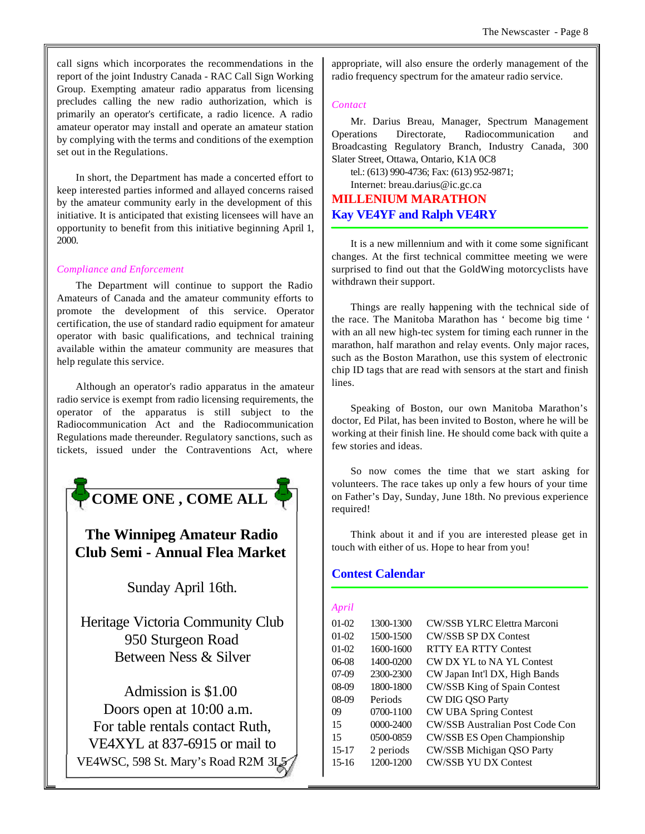call signs which incorporates the recommendations in the report of the joint Industry Canada - RAC Call Sign Working Group. Exempting amateur radio apparatus from licensing precludes calling the new radio authorization, which is primarily an operator's certificate, a radio licence. A radio amateur operator may install and operate an amateur station by complying with the terms and conditions of the exemption set out in the Regulations.

In short, the Department has made a concerted effort to keep interested parties informed and allayed concerns raised by the amateur community early in the development of this initiative. It is anticipated that existing licensees will have an opportunity to benefit from this initiative beginning April 1, 2000.

## *Compliance and Enforcement*

The Department will continue to support the Radio Amateurs of Canada and the amateur community efforts to promote the development of this service. Operator certification, the use of standard radio equipment for amateur operator with basic qualifications, and technical training available within the amateur community are measures that help regulate this service.

Although an operator's radio apparatus in the amateur radio service is exempt from radio licensing requirements, the operator of the apparatus is still subject to the Radiocommunication Act and the Radiocommunication Regulations made thereunder. Regulatory sanctions, such as tickets, issued under the Contraventions Act, where



## **The Winnipeg Amateur Radio Club Semi - Annual Flea Market**

Sunday April 16th.

Heritage Victoria Community Club 950 Sturgeon Road Between Ness & Silver

Admission is \$1.00 Doors open at 10:00 a.m. For table rentals contact Ruth, VE4XYL at 837-6915 or mail to VE4WSC, 598 St. Mary's Road R2M 3L5 appropriate, will also ensure the orderly management of the radio frequency spectrum for the amateur radio service.

#### *Contact*

Mr. Darius Breau, Manager, Spectrum Management Operations Directorate, Radiocommunication and Broadcasting Regulatory Branch, Industry Canada, 300 Slater Street, Ottawa, Ontario, K1A 0C8

tel.: (613) 990-4736; Fax: (613) 952-9871;

Internet: breau.darius@ic.gc.ca **MILLENIUM MARATHON Kay VE4YF and Ralph VE4RY**

It is a new millennium and with it come some significant changes. At the first technical committee meeting we were surprised to find out that the GoldWing motorcyclists have withdrawn their support.

Things are really happening with the technical side of the race. The Manitoba Marathon has ' become big time ' with an all new high-tec system for timing each runner in the marathon, half marathon and relay events. Only major races, such as the Boston Marathon, use this system of electronic chip ID tags that are read with sensors at the start and finish lines.

Speaking of Boston, our own Manitoba Marathon's doctor, Ed Pilat, has been invited to Boston, where he will be working at their finish line. He should come back with quite a few stories and ideas.

So now comes the time that we start asking for volunteers. The race takes up only a few hours of your time on Father's Day, Sunday, June 18th. No previous experience required!

Think about it and if you are interested please get in touch with either of us. Hope to hear from you!

## **Contest Calendar**

## *April*

| 01-02   | 1300-1300 | <b>CW/SSB YLRC Elettra Marconi</b>     |
|---------|-----------|----------------------------------------|
| $01-02$ | 1500-1500 | <b>CW/SSB SP DX Contest</b>            |
| $01-02$ | 1600-1600 | <b>RTTY EA RTTY Contest</b>            |
| 06-08   | 1400-0200 | CW DX YL to NA YL Contest              |
| 07-09   | 2300-2300 | CW Japan Int'l DX, High Bands          |
| 08-09   | 1800-1800 | CW/SSB King of Spain Contest           |
| 08-09   | Periods   | CW DIG QSO Party                       |
| 09      | 0700-1100 | <b>CW UBA Spring Contest</b>           |
| 15      | 0000-2400 | <b>CW/SSB Australian Post Code Con</b> |
| 15      | 0500-0859 | CW/SSB ES Open Championship            |
| 15-17   | 2 periods | CW/SSB Michigan QSO Party              |
| $15-16$ | 1200-1200 | <b>CW/SSB YU DX Contest</b>            |
|         |           |                                        |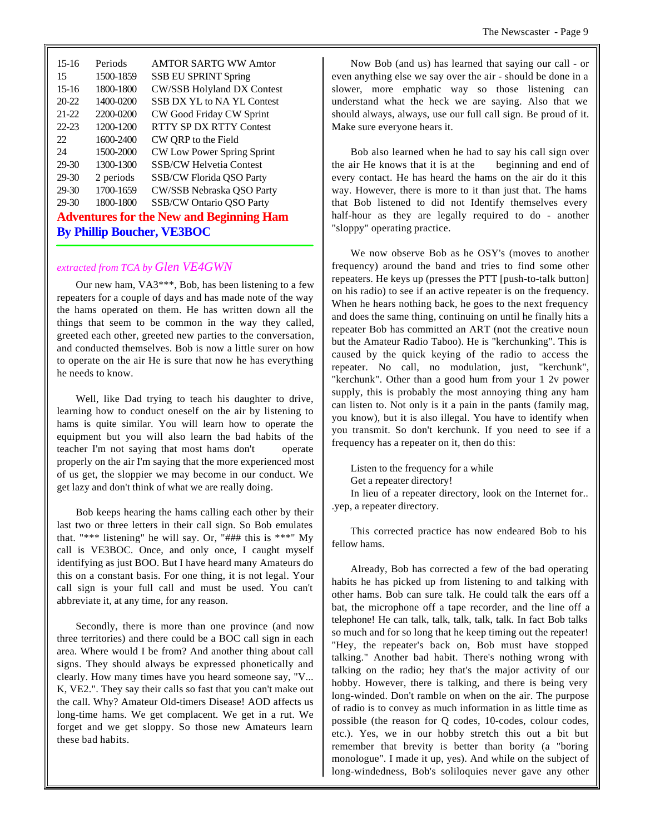| $15-16$                                         | Periods   | <b>AMTOR SARTG WW Amtor</b>       |  |  |
|-------------------------------------------------|-----------|-----------------------------------|--|--|
| 15                                              | 1500-1859 | <b>SSB EU SPRINT Spring</b>       |  |  |
| $15-16$                                         | 1800-1800 | <b>CW/SSB Holyland DX Contest</b> |  |  |
| $20 - 22$                                       | 1400-0200 | SSB DX YL to NA YL Contest        |  |  |
| $21 - 22$                                       | 2200-0200 | CW Good Friday CW Sprint          |  |  |
| $22 - 23$                                       | 1200-1200 | RTTY SP DX RTTY Contest           |  |  |
| 22                                              | 1600-2400 | CW QRP to the Field               |  |  |
| 24                                              | 1500-2000 | CW Low Power Spring Sprint        |  |  |
| 29-30                                           | 1300-1300 | <b>SSB/CW Helvetia Contest</b>    |  |  |
| 29-30                                           | 2 periods | <b>SSB/CW Florida QSO Party</b>   |  |  |
| 29-30                                           | 1700-1659 | CW/SSB Nebraska QSO Party         |  |  |
| $29-30$                                         | 1800-1800 | <b>SSB/CW Ontario QSO Party</b>   |  |  |
| <b>Adventures for the New and Beginning Ham</b> |           |                                   |  |  |
| <b>By Phillip Boucher, VE3BOC</b>               |           |                                   |  |  |

#### *extracted from TCA by Glen VE4GWN*

Our new ham, VA3\*\*\*, Bob, has been listening to a few repeaters for a couple of days and has made note of the way the hams operated on them. He has written down all the things that seem to be common in the way they called, greeted each other, greeted new parties to the conversation, and conducted themselves. Bob is now a little surer on how to operate on the air He is sure that now he has everything he needs to know.

Well, like Dad trying to teach his daughter to drive, learning how to conduct oneself on the air by listening to hams is quite similar. You will learn how to operate the equipment but you will also learn the bad habits of the teacher I'm not saying that most hams don't operate properly on the air I'm saying that the more experienced most of us get, the sloppier we may become in our conduct. We get lazy and don't think of what we are really doing.

Bob keeps hearing the hams calling each other by their last two or three letters in their call sign. So Bob emulates that. "\*\*\* listening" he will say. Or, "### this is \*\*\*" My call is VE3BOC. Once, and only once, I caught myself identifying as just BOO. But I have heard many Amateurs do this on a constant basis. For one thing, it is not legal. Your call sign is your full call and must be used. You can't abbreviate it, at any time, for any reason.

Secondly, there is more than one province (and now three territories) and there could be a BOC call sign in each area. Where would I be from? And another thing about call signs. They should always be expressed phonetically and clearly. How many times have you heard someone say, "V... K, VE2.". They say their calls so fast that you can't make out the call. Why? Amateur Old-timers Disease! AOD affects us long-time hams. We get complacent. We get in a rut. We forget and we get sloppy. So those new Amateurs learn these bad habits.

Now Bob (and us) has learned that saying our call - or even anything else we say over the air - should be done in a slower, more emphatic way so those listening can understand what the heck we are saying. Also that we should always, always, use our full call sign. Be proud of it. Make sure everyone hears it.

Bob also learned when he had to say his call sign over the air He knows that it is at the beginning and end of every contact. He has heard the hams on the air do it this way. However, there is more to it than just that. The hams that Bob listened to did not Identify themselves every half-hour as they are legally required to do - another "sloppy" operating practice.

We now observe Bob as he OSY's (moves to another frequency) around the band and tries to find some other repeaters. He keys up (presses the PTT [push-to-talk button] on his radio) to see if an active repeater is on the frequency. When he hears nothing back, he goes to the next frequency and does the same thing, continuing on until he finally hits a repeater Bob has committed an ART (not the creative noun but the Amateur Radio Taboo). He is "kerchunking". This is caused by the quick keying of the radio to access the repeater. No call, no modulation, just, "kerchunk", "kerchunk". Other than a good hum from your 1 2v power supply, this is probably the most annoying thing any ham can listen to. Not only is it a pain in the pants (family mag, you know), but it is also illegal. You have to identify when you transmit. So don't kerchunk. If you need to see if a frequency has a repeater on it, then do this:

Listen to the frequency for a while

Get a repeater directory!

In lieu of a repeater directory, look on the Internet for.. .yep, a repeater directory.

This corrected practice has now endeared Bob to his fellow hams.

Already, Bob has corrected a few of the bad operating habits he has picked up from listening to and talking with other hams. Bob can sure talk. He could talk the ears off a bat, the microphone off a tape recorder, and the line off a telephone! He can talk, talk, talk, talk, talk. In fact Bob talks so much and for so long that he keep timing out the repeater! "Hey, the repeater's back on, Bob must have stopped talking." Another bad habit. There's nothing wrong with talking on the radio; hey that's the major activity of our hobby. However, there is talking, and there is being very long-winded. Don't ramble on when on the air. The purpose of radio is to convey as much information in as little time as possible (the reason for Q codes, 10-codes, colour codes, etc.). Yes, we in our hobby stretch this out a bit but remember that brevity is better than bority (a "boring monologue". I made it up, yes). And while on the subject of long-windedness, Bob's soliloquies never gave any other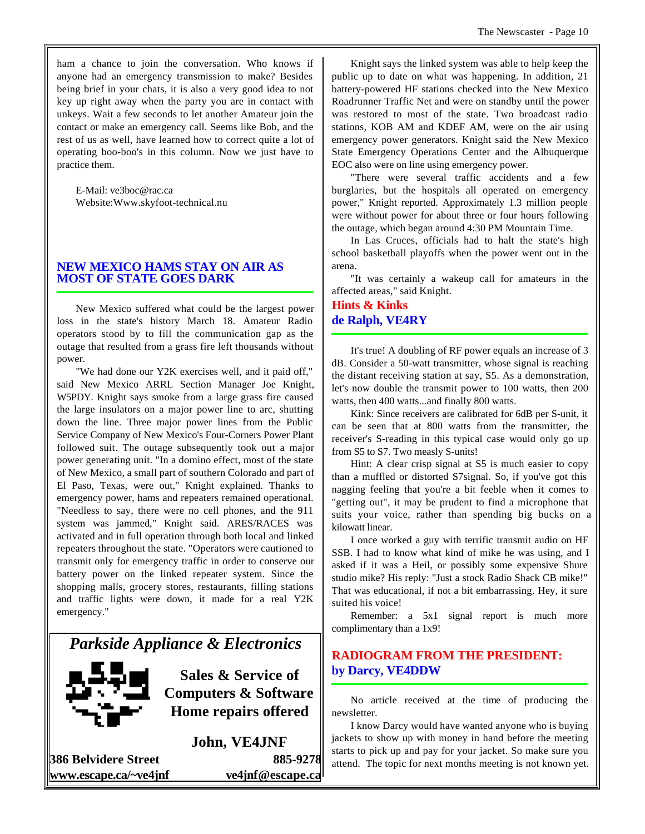ham a chance to join the conversation. Who knows if anyone had an emergency transmission to make? Besides being brief in your chats, it is also a very good idea to not key up right away when the party you are in contact with unkeys. Wait a few seconds to let another Amateur join the contact or make an emergency call. Seems like Bob, and the rest of us as well, have learned how to correct quite a lot of operating boo-boo's in this column. Now we just have to practice them.

E-Mail: ve3boc@rac.ca Website:Www.skyfoot-technical.nu

## **NEW MEXICO HAMS STAY ON AIR AS MOST OF STATE GOES DARK**

New Mexico suffered what could be the largest power loss in the state's history March 18. Amateur Radio operators stood by to fill the communication gap as the outage that resulted from a grass fire left thousands without power.

"We had done our Y2K exercises well, and it paid off," said New Mexico ARRL Section Manager Joe Knight, W5PDY. Knight says smoke from a large grass fire caused the large insulators on a major power line to arc, shutting down the line. Three major power lines from the Public Service Company of New Mexico's Four-Corners Power Plant followed suit. The outage subsequently took out a major power generating unit. "In a domino effect, most of the state of New Mexico, a small part of southern Colorado and part of El Paso, Texas, were out," Knight explained. Thanks to emergency power, hams and repeaters remained operational. "Needless to say, there were no cell phones, and the 911 system was jammed," Knight said. ARES/RACES was activated and in full operation through both local and linked repeaters throughout the state. "Operators were cautioned to transmit only for emergency traffic in order to conserve our battery power on the linked repeater system. Since the shopping malls, grocery stores, restaurants, filling stations and traffic lights were down, it made for a real Y2K emergency."

## *Parkside Appliance & Electronics*



**Sales & Service of Computers & Software Home repairs offered**

**John, VE4JNF**

**386 Belvidere Street 885-9278 www.escape.ca/~ve4jnf ve4jnf@escape.ca**

Knight says the linked system was able to help keep the public up to date on what was happening. In addition, 21 battery-powered HF stations checked into the New Mexico Roadrunner Traffic Net and were on standby until the power was restored to most of the state. Two broadcast radio stations, KOB AM and KDEF AM, were on the air using emergency power generators. Knight said the New Mexico State Emergency Operations Center and the Albuquerque EOC also were on line using emergency power.

"There were several traffic accidents and a few burglaries, but the hospitals all operated on emergency power," Knight reported. Approximately 1.3 million people were without power for about three or four hours following the outage, which began around 4:30 PM Mountain Time.

In Las Cruces, officials had to halt the state's high school basketball playoffs when the power went out in the arena.

"It was certainly a wakeup call for amateurs in the affected areas," said Knight.

## **Hints & Kinks de Ralph, VE4RY**

It's true! A doubling of RF power equals an increase of 3 dB. Consider a 50-watt transmitter, whose signal is reaching the distant receiving station at say, S5. As a demonstration, let's now double the transmit power to 100 watts, then 200 watts, then 400 watts...and finally 800 watts.

Kink: Since receivers are calibrated for 6dB per S-unit, it can be seen that at 800 watts from the transmitter, the receiver's S-reading in this typical case would only go up from S5 to S7. Two measly S-units!

Hint: A clear crisp signal at S5 is much easier to copy than a muffled or distorted S7signal. So, if you've got this nagging feeling that you're a bit feeble when it comes to "getting out", it may be prudent to find a microphone that suits your voice, rather than spending big bucks on a kilowatt linear.

I once worked a guy with terrific transmit audio on HF SSB. I had to know what kind of mike he was using, and I asked if it was a Heil, or possibly some expensive Shure studio mike? His reply: "Just a stock Radio Shack CB mike!" That was educational, if not a bit embarrassing. Hey, it sure suited his voice!

Remember: a 5x1 signal report is much more complimentary than a 1x9!

## **RADIOGRAM FROM THE PRESIDENT: by Darcy, VE4DDW**

No article received at the time of producing the newsletter.

I know Darcy would have wanted anyone who is buying jackets to show up with money in hand before the meeting starts to pick up and pay for your jacket. So make sure you attend. The topic for next months meeting is not known yet.